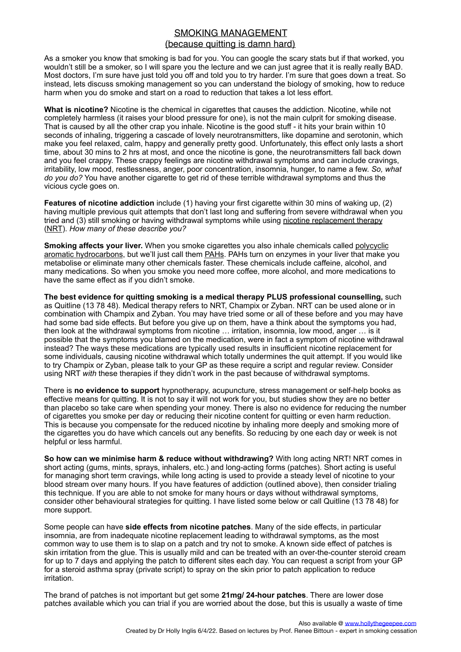## SMOKING MANAGEMENT (because quitting is damn hard)

As a smoker you know that smoking is bad for you. You can google the scary stats but if that worked, you wouldn't still be a smoker, so I will spare you the lecture and we can just agree that it is really really BAD. Most doctors, I'm sure have just told you off and told you to try harder. I'm sure that goes down a treat. So instead, lets discuss smoking management so you can understand the biology of smoking, how to reduce harm when you do smoke and start on a road to reduction that takes a lot less effort.

**What is nicotine?** Nicotine is the chemical in cigarettes that causes the addiction. Nicotine, while not completely harmless (it raises your blood pressure for one), is not the main culprit for smoking disease. That is caused by all the other crap you inhale. Nicotine is the good stuff - it hits your brain within 10 seconds of inhaling, triggering a cascade of lovely neurotransmitters, like dopamine and serotonin, which make you feel relaxed, calm, happy and generally pretty good. Unfortunately, this effect only lasts a short time, about 30 mins to 2 hrs at most, and once the nicotine is gone, the neurotransmitters fall back down and you feel crappy. These crappy feelings are nicotine withdrawal symptoms and can include cravings, irritability, low mood, restlessness, anger, poor concentration, insomnia, hunger, to name a few. *So, what do you do?* You have another cigarette to get rid of these terrible withdrawal symptoms and thus the vicious cycle goes on.

**Features of nicotine addiction** include (1) having your first cigarette within 30 mins of waking up, (2) having multiple previous quit attempts that don't last long and suffering from severe withdrawal when you tried and (3) still smoking or having withdrawal symptoms while using nicotine replacement therapy (NRT). *How many of these describe you?*

**Smoking affects your liver.** When you smoke cigarettes you also inhale chemicals called polycyclic aromatic hydrocarbons, but we'll just call them PAHs. PAHs turn on enzymes in your liver that make you metabolise or eliminate many other chemicals faster. These chemicals include caffeine, alcohol, and many medications. So when you smoke you need more coffee, more alcohol, and more medications to have the same effect as if you didn't smoke.

**The best evidence for quitting smoking is a medical therapy PLUS professional counselling,** such as Quitline (13 78 48). Medical therapy refers to NRT, Champix or Zyban. NRT can be used alone or in combination with Champix and Zyban. You may have tried some or all of these before and you may have had some bad side effects. But before you give up on them, have a think about the symptoms you had, then look at the withdrawal symptoms from nicotine … irritation, insomnia, low mood, anger … is it possible that the symptoms you blamed on the medication, were in fact a symptom of nicotine withdrawal instead? The ways these medications are typically used results in insufficient nicotine replacement for some individuals, causing nicotine withdrawal which totally undermines the quit attempt. If you would like to try Champix or Zyban, please talk to your GP as these require a script and regular review. Consider using NRT *with* these therapies if they didn't work in the past because of withdrawal symptoms.

There is **no evidence to support** hypnotherapy, acupuncture, stress management or self-help books as effective means for quitting. It is not to say it will not work for you, but studies show they are no better than placebo so take care when spending your money. There is also no evidence for reducing the number of cigarettes you smoke per day or reducing their nicotine content for quitting or even harm reduction. This is because you compensate for the reduced nicotine by inhaling more deeply and smoking more of the cigarettes you do have which cancels out any benefits. So reducing by one each day or week is not helpful or less harmful.

**So how can we minimise harm & reduce without withdrawing?** With long acting NRT! NRT comes in short acting (gums, mints, sprays, inhalers, etc.) and long-acting forms (patches). Short acting is useful for managing short term cravings, while long acting is used to provide a steady level of nicotine to your blood stream over many hours. If you have features of addiction (outlined above), then consider trialing this technique. If you are able to not smoke for many hours or days without withdrawal symptoms, consider other behavioural strategies for quitting. I have listed some below or call Quitline (13 78 48) for more support.

Some people can have **side effects from nicotine patches**. Many of the side effects, in particular insomnia, are from inadequate nicotine replacement leading to withdrawal symptoms, as the most common way to use them is to slap on a patch and try not to smoke. A known side effect of patches is skin irritation from the glue. This is usually mild and can be treated with an over-the-counter steroid cream for up to 7 days and applying the patch to different sites each day. You can request a script from your GP for a steroid asthma spray (private script) to spray on the skin prior to patch application to reduce irritation.

The brand of patches is not important but get some **21mg/ 24-hour patches**. There are lower dose patches available which you can trial if you are worried about the dose, but this is usually a waste of time